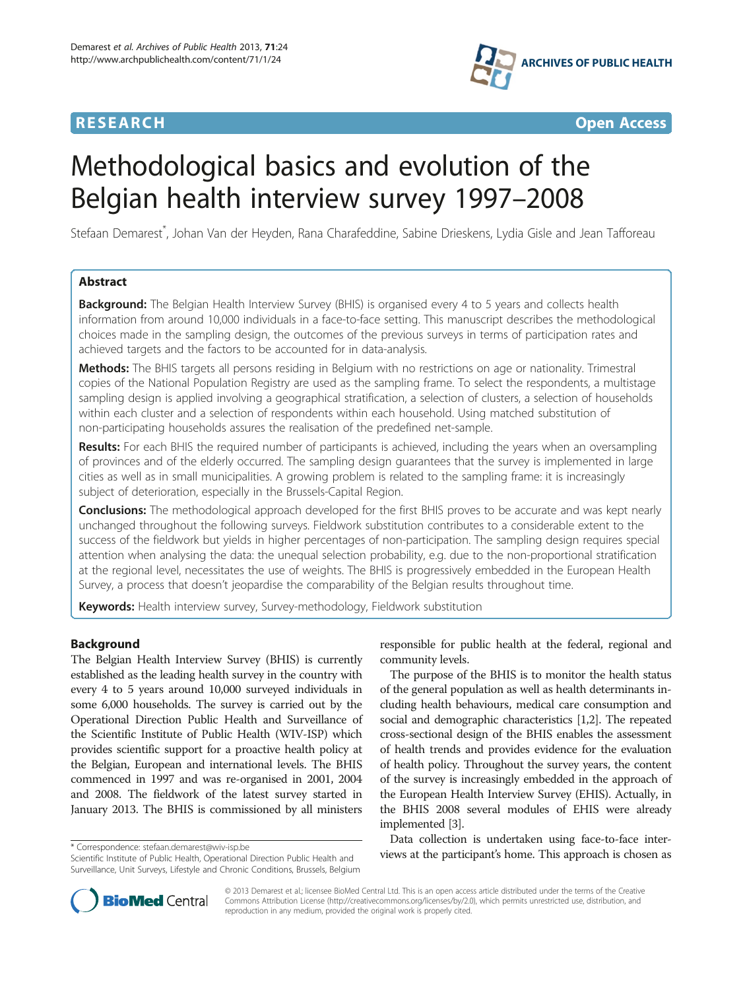## **RESEARCH CHE Open Access**



# Methodological basics and evolution of the Belgian health interview survey 1997–2008

Stefaan Demarest<sup>\*</sup>, Johan Van der Heyden, Rana Charafeddine, Sabine Drieskens, Lydia Gisle and Jean Tafforeau

## Abstract

Background: The Belgian Health Interview Survey (BHIS) is organised every 4 to 5 years and collects health information from around 10,000 individuals in a face-to-face setting. This manuscript describes the methodological choices made in the sampling design, the outcomes of the previous surveys in terms of participation rates and achieved targets and the factors to be accounted for in data-analysis.

Methods: The BHIS targets all persons residing in Belgium with no restrictions on age or nationality. Trimestral copies of the National Population Registry are used as the sampling frame. To select the respondents, a multistage sampling design is applied involving a geographical stratification, a selection of clusters, a selection of households within each cluster and a selection of respondents within each household. Using matched substitution of non-participating households assures the realisation of the predefined net-sample.

Results: For each BHIS the required number of participants is achieved, including the years when an oversampling of provinces and of the elderly occurred. The sampling design guarantees that the survey is implemented in large cities as well as in small municipalities. A growing problem is related to the sampling frame: it is increasingly subject of deterioration, especially in the Brussels-Capital Region.

**Conclusions:** The methodological approach developed for the first BHIS proves to be accurate and was kept nearly unchanged throughout the following surveys. Fieldwork substitution contributes to a considerable extent to the success of the fieldwork but yields in higher percentages of non-participation. The sampling design requires special attention when analysing the data: the unequal selection probability, e.g. due to the non-proportional stratification at the regional level, necessitates the use of weights. The BHIS is progressively embedded in the European Health Survey, a process that doesn't jeopardise the comparability of the Belgian results throughout time.

Keywords: Health interview survey, Survey-methodology, Fieldwork substitution

## Background

The Belgian Health Interview Survey (BHIS) is currently established as the leading health survey in the country with every 4 to 5 years around 10,000 surveyed individuals in some 6,000 households. The survey is carried out by the Operational Direction Public Health and Surveillance of the Scientific Institute of Public Health (WIV-ISP) which provides scientific support for a proactive health policy at the Belgian, European and international levels. The BHIS commenced in 1997 and was re-organised in 2001, 2004 and 2008. The fieldwork of the latest survey started in January 2013. The BHIS is commissioned by all ministers

responsible for public health at the federal, regional and community levels.

The purpose of the BHIS is to monitor the health status of the general population as well as health determinants including health behaviours, medical care consumption and social and demographic characteristics [[1,2](#page-8-0)]. The repeated cross-sectional design of the BHIS enables the assessment of health trends and provides evidence for the evaluation of health policy. Throughout the survey years, the content of the survey is increasingly embedded in the approach of the European Health Interview Survey (EHIS). Actually, in the BHIS 2008 several modules of EHIS were already implemented [\[3](#page-8-0)].

Data collection is undertaken using face-to-face inter\* Correspondence: [stefaan.demarest@wiv-isp.be](mailto:stefaan.demarest@wiv-isp.be)<br>Scientific Institute of Public Health Operational Direction Public Health and<br>Scientific Institute of Public Health Operational Direction Public Health and<br>News at the particip



© 2013 Demarest et al.; licensee BioMed Central Ltd. This is an open access article distributed under the terms of the Creative Commons Attribution License [\(http://creativecommons.org/licenses/by/2.0\)](http://creativecommons.org/licenses/by/2.0), which permits unrestricted use, distribution, and reproduction in any medium, provided the original work is properly cited.

Scientific Institute of Public Health, Operational Direction Public Health and Surveillance, Unit Surveys, Lifestyle and Chronic Conditions, Brussels, Belgium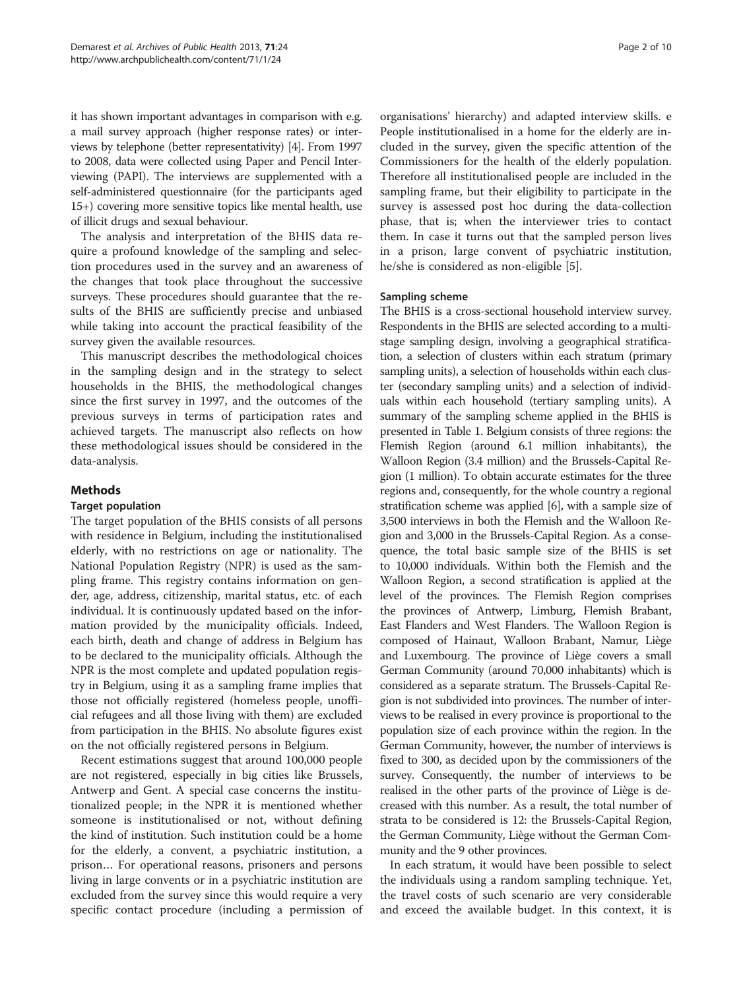it has shown important advantages in comparison with e.g. a mail survey approach (higher response rates) or interviews by telephone (better representativity) [\[4\]](#page-8-0). From 1997 to 2008, data were collected using Paper and Pencil Interviewing (PAPI). The interviews are supplemented with a self-administered questionnaire (for the participants aged 15+) covering more sensitive topics like mental health, use of illicit drugs and sexual behaviour.

The analysis and interpretation of the BHIS data require a profound knowledge of the sampling and selection procedures used in the survey and an awareness of the changes that took place throughout the successive surveys. These procedures should guarantee that the results of the BHIS are sufficiently precise and unbiased while taking into account the practical feasibility of the survey given the available resources.

This manuscript describes the methodological choices in the sampling design and in the strategy to select households in the BHIS, the methodological changes since the first survey in 1997, and the outcomes of the previous surveys in terms of participation rates and achieved targets. The manuscript also reflects on how these methodological issues should be considered in the data-analysis.

## Methods

## Target population

The target population of the BHIS consists of all persons with residence in Belgium, including the institutionalised elderly, with no restrictions on age or nationality. The National Population Registry (NPR) is used as the sampling frame. This registry contains information on gender, age, address, citizenship, marital status, etc. of each individual. It is continuously updated based on the information provided by the municipality officials. Indeed, each birth, death and change of address in Belgium has to be declared to the municipality officials. Although the NPR is the most complete and updated population registry in Belgium, using it as a sampling frame implies that those not officially registered (homeless people, unofficial refugees and all those living with them) are excluded from participation in the BHIS. No absolute figures exist on the not officially registered persons in Belgium.

Recent estimations suggest that around 100,000 people are not registered, especially in big cities like Brussels, Antwerp and Gent. A special case concerns the institutionalized people; in the NPR it is mentioned whether someone is institutionalised or not, without defining the kind of institution. Such institution could be a home for the elderly, a convent, a psychiatric institution, a prison… For operational reasons, prisoners and persons living in large convents or in a psychiatric institution are excluded from the survey since this would require a very specific contact procedure (including a permission of

organisations' hierarchy) and adapted interview skills. e People institutionalised in a home for the elderly are included in the survey, given the specific attention of the Commissioners for the health of the elderly population. Therefore all institutionalised people are included in the sampling frame, but their eligibility to participate in the survey is assessed post hoc during the data-collection phase, that is; when the interviewer tries to contact them. In case it turns out that the sampled person lives in a prison, large convent of psychiatric institution, he/she is considered as non-eligible [[5](#page-9-0)].

## Sampling scheme

The BHIS is a cross-sectional household interview survey. Respondents in the BHIS are selected according to a multistage sampling design, involving a geographical stratification, a selection of clusters within each stratum (primary sampling units), a selection of households within each cluster (secondary sampling units) and a selection of individuals within each household (tertiary sampling units). A summary of the sampling scheme applied in the BHIS is presented in Table [1](#page-2-0). Belgium consists of three regions: the Flemish Region (around 6.1 million inhabitants), the Walloon Region (3.4 million) and the Brussels-Capital Region (1 million). To obtain accurate estimates for the three regions and, consequently, for the whole country a regional stratification scheme was applied [\[6\]](#page-9-0), with a sample size of 3,500 interviews in both the Flemish and the Walloon Region and 3,000 in the Brussels-Capital Region. As a consequence, the total basic sample size of the BHIS is set to 10,000 individuals. Within both the Flemish and the Walloon Region, a second stratification is applied at the level of the provinces. The Flemish Region comprises the provinces of Antwerp, Limburg, Flemish Brabant, East Flanders and West Flanders. The Walloon Region is composed of Hainaut, Walloon Brabant, Namur, Liège and Luxembourg. The province of Liège covers a small German Community (around 70,000 inhabitants) which is considered as a separate stratum. The Brussels-Capital Region is not subdivided into provinces. The number of interviews to be realised in every province is proportional to the population size of each province within the region. In the German Community, however, the number of interviews is fixed to 300, as decided upon by the commissioners of the survey. Consequently, the number of interviews to be realised in the other parts of the province of Liège is decreased with this number. As a result, the total number of strata to be considered is 12: the Brussels-Capital Region, the German Community, Liège without the German Community and the 9 other provinces.

In each stratum, it would have been possible to select the individuals using a random sampling technique. Yet, the travel costs of such scenario are very considerable and exceed the available budget. In this context, it is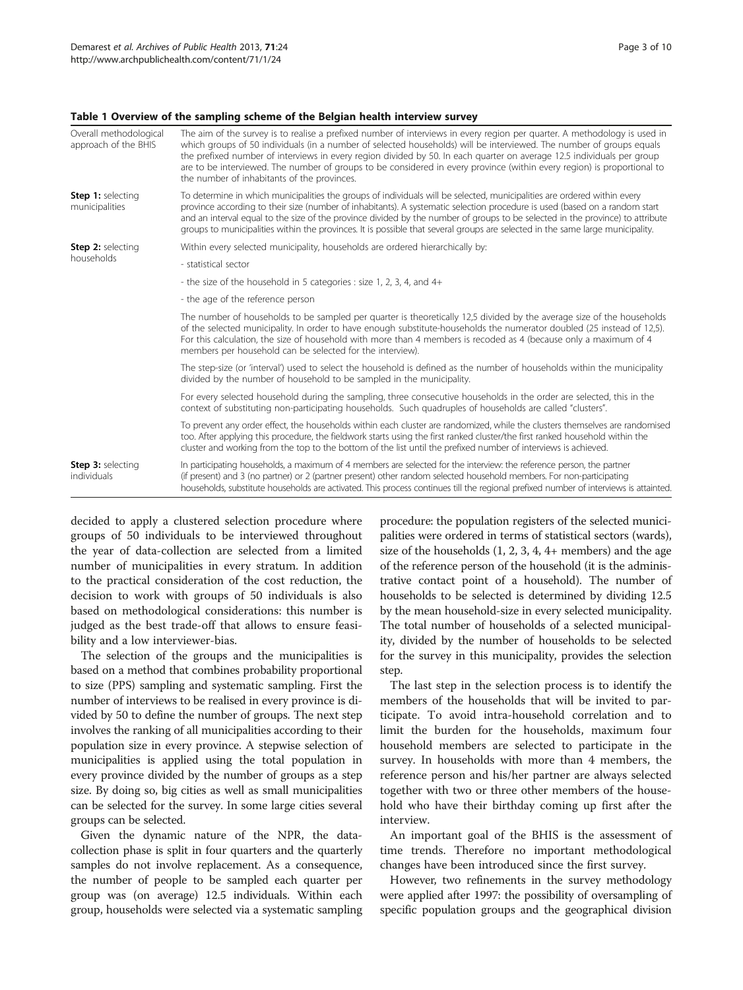#### <span id="page-2-0"></span>Table 1 Overview of the sampling scheme of the Belgian health interview survey

| Overall methodological<br>approach of the BHIS | The aim of the survey is to realise a prefixed number of interviews in every region per quarter. A methodology is used in<br>which groups of 50 individuals (in a number of selected households) will be interviewed. The number of groups equals<br>the prefixed number of interviews in every region divided by 50. In each quarter on average 12.5 individuals per group<br>are to be interviewed. The number of groups to be considered in every province (within every region) is proportional to<br>the number of inhabitants of the provinces. |  |  |  |  |  |
|------------------------------------------------|-------------------------------------------------------------------------------------------------------------------------------------------------------------------------------------------------------------------------------------------------------------------------------------------------------------------------------------------------------------------------------------------------------------------------------------------------------------------------------------------------------------------------------------------------------|--|--|--|--|--|
| Step 1: selecting<br>municipalities            | To determine in which municipalities the groups of individuals will be selected, municipalities are ordered within every<br>province according to their size (number of inhabitants). A systematic selection procedure is used (based on a random start<br>and an interval equal to the size of the province divided by the number of groups to be selected in the province) to attribute<br>groups to municipalities within the provinces. It is possible that several groups are selected in the same large municipality.                           |  |  |  |  |  |
| <b>Step 2: selecting</b>                       | Within every selected municipality, households are ordered hierarchically by:                                                                                                                                                                                                                                                                                                                                                                                                                                                                         |  |  |  |  |  |
| households                                     | - statistical sector                                                                                                                                                                                                                                                                                                                                                                                                                                                                                                                                  |  |  |  |  |  |
|                                                | - the size of the household in 5 categories : size 1, 2, 3, 4, and 4+                                                                                                                                                                                                                                                                                                                                                                                                                                                                                 |  |  |  |  |  |
|                                                | - the age of the reference person                                                                                                                                                                                                                                                                                                                                                                                                                                                                                                                     |  |  |  |  |  |
|                                                | The number of households to be sampled per quarter is theoretically 12,5 divided by the average size of the households<br>of the selected municipality. In order to have enough substitute-households the numerator doubled (25 instead of 12,5).<br>For this calculation, the size of household with more than 4 members is recoded as 4 (because only a maximum of 4<br>members per household can be selected for the interview).                                                                                                                   |  |  |  |  |  |
|                                                | The step-size (or 'interval') used to select the household is defined as the number of households within the municipality<br>divided by the number of household to be sampled in the municipality.                                                                                                                                                                                                                                                                                                                                                    |  |  |  |  |  |
|                                                | For every selected household during the sampling, three consecutive households in the order are selected, this in the<br>context of substituting non-participating households. Such quadruples of households are called "clusters".                                                                                                                                                                                                                                                                                                                   |  |  |  |  |  |
|                                                | To prevent any order effect, the households within each cluster are randomized, while the clusters themselves are randomised<br>too. After applying this procedure, the fieldwork starts using the first ranked cluster/the first ranked household within the<br>cluster and working from the top to the bottom of the list until the prefixed number of interviews is achieved.                                                                                                                                                                      |  |  |  |  |  |
| Step 3: selecting<br>individuals               | In participating households, a maximum of 4 members are selected for the interview: the reference person, the partner<br>(if present) and 3 (no partner) or 2 (partner present) other random selected household members. For non-participating<br>households, substitute households are activated. This process continues till the regional prefixed number of interviews is attainted.                                                                                                                                                               |  |  |  |  |  |

decided to apply a clustered selection procedure where groups of 50 individuals to be interviewed throughout the year of data-collection are selected from a limited number of municipalities in every stratum. In addition to the practical consideration of the cost reduction, the decision to work with groups of 50 individuals is also based on methodological considerations: this number is judged as the best trade-off that allows to ensure feasibility and a low interviewer-bias.

The selection of the groups and the municipalities is based on a method that combines probability proportional to size (PPS) sampling and systematic sampling. First the number of interviews to be realised in every province is divided by 50 to define the number of groups. The next step involves the ranking of all municipalities according to their population size in every province. A stepwise selection of municipalities is applied using the total population in every province divided by the number of groups as a step size. By doing so, big cities as well as small municipalities can be selected for the survey. In some large cities several groups can be selected.

Given the dynamic nature of the NPR, the datacollection phase is split in four quarters and the quarterly samples do not involve replacement. As a consequence, the number of people to be sampled each quarter per group was (on average) 12.5 individuals. Within each group, households were selected via a systematic sampling

procedure: the population registers of the selected municipalities were ordered in terms of statistical sectors (wards), size of the households (1, 2, 3, 4, 4+ members) and the age of the reference person of the household (it is the administrative contact point of a household). The number of households to be selected is determined by dividing 12.5 by the mean household-size in every selected municipality. The total number of households of a selected municipality, divided by the number of households to be selected for the survey in this municipality, provides the selection step.

The last step in the selection process is to identify the members of the households that will be invited to participate. To avoid intra-household correlation and to limit the burden for the households, maximum four household members are selected to participate in the survey. In households with more than 4 members, the reference person and his/her partner are always selected together with two or three other members of the household who have their birthday coming up first after the interview.

An important goal of the BHIS is the assessment of time trends. Therefore no important methodological changes have been introduced since the first survey.

However, two refinements in the survey methodology were applied after 1997: the possibility of oversampling of specific population groups and the geographical division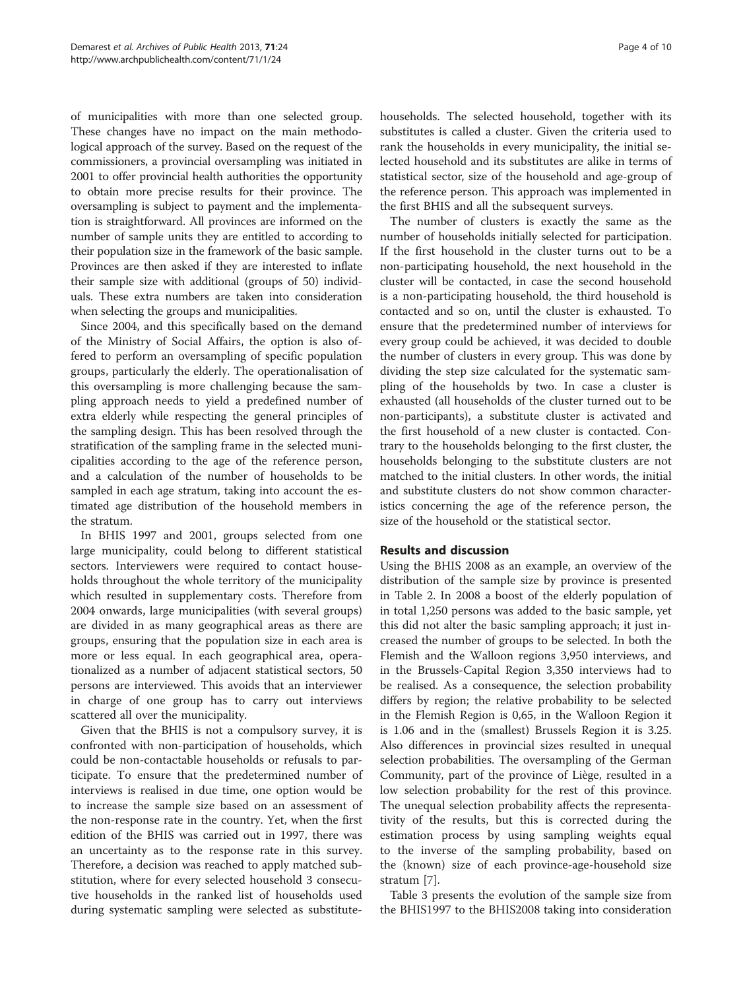of municipalities with more than one selected group. These changes have no impact on the main methodological approach of the survey. Based on the request of the commissioners, a provincial oversampling was initiated in 2001 to offer provincial health authorities the opportunity to obtain more precise results for their province. The oversampling is subject to payment and the implementation is straightforward. All provinces are informed on the number of sample units they are entitled to according to their population size in the framework of the basic sample. Provinces are then asked if they are interested to inflate their sample size with additional (groups of 50) individuals. These extra numbers are taken into consideration when selecting the groups and municipalities.

Since 2004, and this specifically based on the demand of the Ministry of Social Affairs, the option is also offered to perform an oversampling of specific population groups, particularly the elderly. The operationalisation of this oversampling is more challenging because the sampling approach needs to yield a predefined number of extra elderly while respecting the general principles of the sampling design. This has been resolved through the stratification of the sampling frame in the selected municipalities according to the age of the reference person, and a calculation of the number of households to be sampled in each age stratum, taking into account the estimated age distribution of the household members in the stratum.

In BHIS 1997 and 2001, groups selected from one large municipality, could belong to different statistical sectors. Interviewers were required to contact households throughout the whole territory of the municipality which resulted in supplementary costs. Therefore from 2004 onwards, large municipalities (with several groups) are divided in as many geographical areas as there are groups, ensuring that the population size in each area is more or less equal. In each geographical area, operationalized as a number of adjacent statistical sectors, 50 persons are interviewed. This avoids that an interviewer in charge of one group has to carry out interviews scattered all over the municipality.

Given that the BHIS is not a compulsory survey, it is confronted with non-participation of households, which could be non-contactable households or refusals to participate. To ensure that the predetermined number of interviews is realised in due time, one option would be to increase the sample size based on an assessment of the non-response rate in the country. Yet, when the first edition of the BHIS was carried out in 1997, there was an uncertainty as to the response rate in this survey. Therefore, a decision was reached to apply matched substitution, where for every selected household 3 consecutive households in the ranked list of households used during systematic sampling were selected as substitutehouseholds. The selected household, together with its substitutes is called a cluster. Given the criteria used to rank the households in every municipality, the initial selected household and its substitutes are alike in terms of statistical sector, size of the household and age-group of the reference person. This approach was implemented in the first BHIS and all the subsequent surveys.

The number of clusters is exactly the same as the number of households initially selected for participation. If the first household in the cluster turns out to be a non-participating household, the next household in the cluster will be contacted, in case the second household is a non-participating household, the third household is contacted and so on, until the cluster is exhausted. To ensure that the predetermined number of interviews for every group could be achieved, it was decided to double the number of clusters in every group. This was done by dividing the step size calculated for the systematic sampling of the households by two. In case a cluster is exhausted (all households of the cluster turned out to be non-participants), a substitute cluster is activated and the first household of a new cluster is contacted. Contrary to the households belonging to the first cluster, the households belonging to the substitute clusters are not matched to the initial clusters. In other words, the initial and substitute clusters do not show common characteristics concerning the age of the reference person, the size of the household or the statistical sector.

### Results and discussion

Using the BHIS 2008 as an example, an overview of the distribution of the sample size by province is presented in Table [2](#page-4-0). In 2008 a boost of the elderly population of in total 1,250 persons was added to the basic sample, yet this did not alter the basic sampling approach; it just increased the number of groups to be selected. In both the Flemish and the Walloon regions 3,950 interviews, and in the Brussels-Capital Region 3,350 interviews had to be realised. As a consequence, the selection probability differs by region; the relative probability to be selected in the Flemish Region is 0,65, in the Walloon Region it is 1.06 and in the (smallest) Brussels Region it is 3.25. Also differences in provincial sizes resulted in unequal selection probabilities. The oversampling of the German Community, part of the province of Liège, resulted in a low selection probability for the rest of this province. The unequal selection probability affects the representativity of the results, but this is corrected during the estimation process by using sampling weights equal to the inverse of the sampling probability, based on the (known) size of each province-age-household size stratum [[7](#page-9-0)].

Table [3](#page-4-0) presents the evolution of the sample size from the BHIS1997 to the BHIS2008 taking into consideration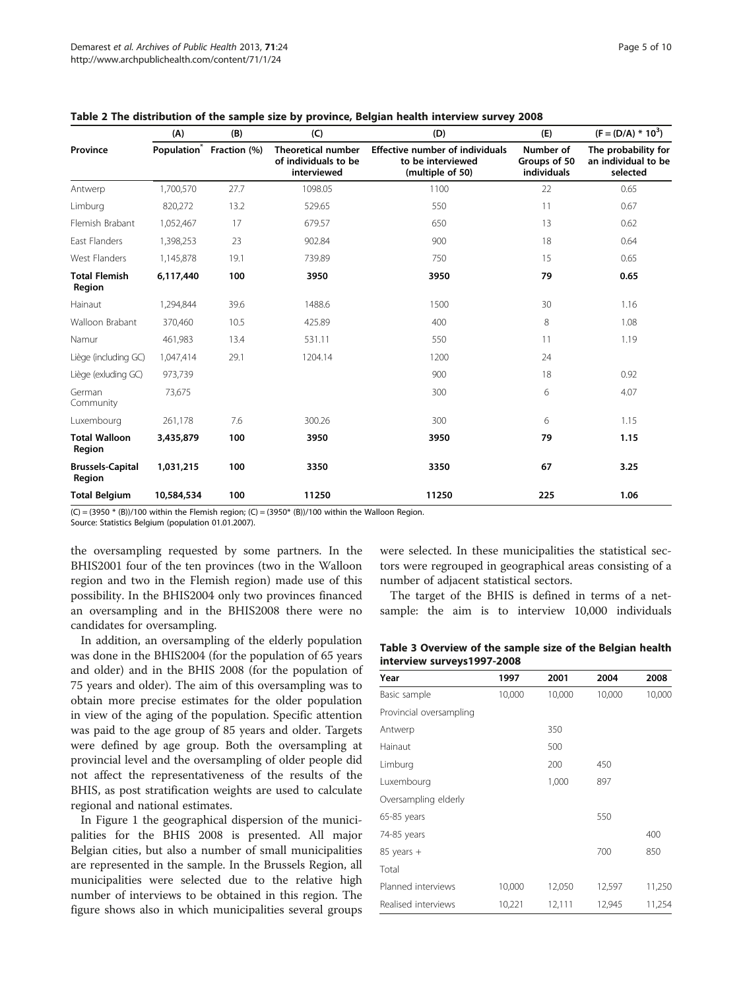|                                   | (A)        | (B)                                  | (C)                                                              | (D)                                                                             | (E)                                      | $(F = (D/A) * 103)$                                    |
|-----------------------------------|------------|--------------------------------------|------------------------------------------------------------------|---------------------------------------------------------------------------------|------------------------------------------|--------------------------------------------------------|
| Province                          |            | Population <sup>*</sup> Fraction (%) | <b>Theoretical number</b><br>of individuals to be<br>interviewed | <b>Effective number of individuals</b><br>to be interviewed<br>(multiple of 50) | Number of<br>Groups of 50<br>individuals | The probability for<br>an individual to be<br>selected |
| Antwerp                           | 1,700,570  | 27.7                                 | 1098.05                                                          | 1100                                                                            | 22                                       | 0.65                                                   |
| Limburg                           | 820,272    | 13.2                                 | 529.65                                                           | 550                                                                             | 11                                       | 0.67                                                   |
| Flemish Brabant                   | 1,052,467  | 17                                   | 679.57                                                           | 650                                                                             | 13                                       | 0.62                                                   |
| East Flanders                     | 1,398,253  | 23                                   | 902.84                                                           | 900                                                                             | 18                                       | 0.64                                                   |
| West Flanders                     | 1,145,878  | 19.1                                 | 739.89                                                           | 750                                                                             | 15                                       | 0.65                                                   |
| <b>Total Flemish</b><br>Region    | 6,117,440  | 100                                  | 3950                                                             | 3950                                                                            | 79                                       | 0.65                                                   |
| Hainaut                           | 1,294,844  | 39.6                                 | 1488.6                                                           | 1500                                                                            | 30                                       | 1.16                                                   |
| Walloon Brabant                   | 370,460    | 10.5                                 | 425.89                                                           | 400                                                                             | 8                                        | 1.08                                                   |
| Namur                             | 461,983    | 13.4                                 | 531.11                                                           | 550                                                                             | 11                                       | 1.19                                                   |
| Liège (including GC)              | 1,047,414  | 29.1                                 | 1204.14                                                          | 1200                                                                            | 24                                       |                                                        |
| Liège (exluding GC)               | 973,739    |                                      |                                                                  | 900                                                                             | 18                                       | 0.92                                                   |
| German<br>Community               | 73,675     |                                      |                                                                  | 300                                                                             | 6                                        | 4.07                                                   |
| Luxembourg                        | 261,178    | 7.6                                  | 300.26                                                           | 300                                                                             | 6                                        | 1.15                                                   |
| <b>Total Walloon</b><br>Region    | 3,435,879  | 100                                  | 3950                                                             | 3950                                                                            | 79                                       | 1.15                                                   |
| <b>Brussels-Capital</b><br>Region | 1,031,215  | 100                                  | 3350                                                             | 3350                                                                            | 67                                       | 3.25                                                   |
| <b>Total Belgium</b>              | 10,584,534 | 100                                  | 11250                                                            | 11250                                                                           | 225                                      | 1.06                                                   |

<span id="page-4-0"></span>

 $(C) = (3950 * (B))/100$  within the Flemish region;  $(C) = (3950 * (B))/100$  within the Walloon Region.

Source: Statistics Belgium (population 01.01.2007).

the oversampling requested by some partners. In the BHIS2001 four of the ten provinces (two in the Walloon region and two in the Flemish region) made use of this possibility. In the BHIS2004 only two provinces financed an oversampling and in the BHIS2008 there were no candidates for oversampling.

In addition, an oversampling of the elderly population was done in the BHIS2004 (for the population of 65 years and older) and in the BHIS 2008 (for the population of 75 years and older). The aim of this oversampling was to obtain more precise estimates for the older population in view of the aging of the population. Specific attention was paid to the age group of 85 years and older. Targets were defined by age group. Both the oversampling at provincial level and the oversampling of older people did not affect the representativeness of the results of the BHIS, as post stratification weights are used to calculate regional and national estimates.

In Figure [1](#page-5-0) the geographical dispersion of the municipalities for the BHIS 2008 is presented. All major Belgian cities, but also a number of small municipalities are represented in the sample. In the Brussels Region, all municipalities were selected due to the relative high number of interviews to be obtained in this region. The figure shows also in which municipalities several groups were selected. In these municipalities the statistical sectors were regrouped in geographical areas consisting of a number of adjacent statistical sectors.

The target of the BHIS is defined in terms of a netsample: the aim is to interview 10,000 individuals

| Table 3 Overview of the sample size of the Belgian health |  |  |  |
|-----------------------------------------------------------|--|--|--|
| interview surveys1997-2008                                |  |  |  |

| Year                         | 1997   | 2001   | 2004   | 2008   |
|------------------------------|--------|--------|--------|--------|
| Basic sample                 | 10,000 | 10,000 | 10,000 | 10,000 |
| Provincial oversampling      |        |        |        |        |
| Antwerp                      |        | 350    |        |        |
| Hainaut                      |        | 500    |        |        |
| Limburg                      |        | 200    | 450    |        |
| Luxembourg                   |        | 1,000  | 897    |        |
| Oversampling elderly         |        |        |        |        |
| 65-85 years                  |        |        | 550    |        |
| 74-85 years                  |        |        |        | 400    |
| 85 years +                   |        |        | 700    | 850    |
| Total                        |        |        |        |        |
| Planned interviews<br>10,000 |        | 12,050 | 12,597 | 11,250 |
| Realised interviews          | 10,221 | 12,111 | 12,945 | 11,254 |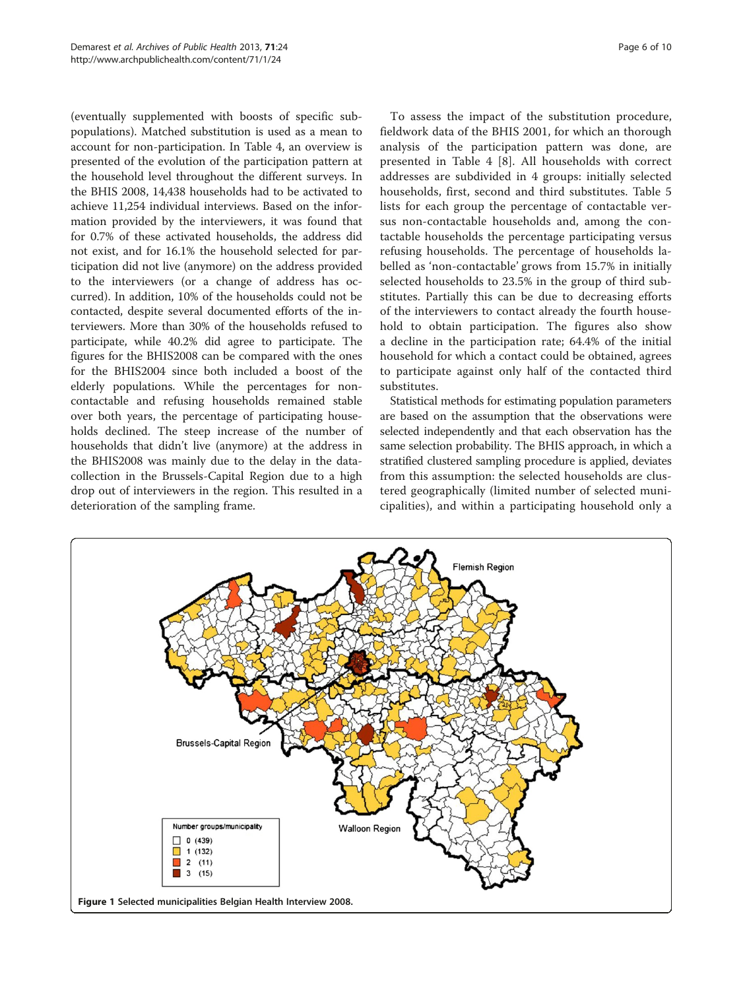<span id="page-5-0"></span>(eventually supplemented with boosts of specific subpopulations). Matched substitution is used as a mean to account for non-participation. In Table [4](#page-6-0), an overview is presented of the evolution of the participation pattern at the household level throughout the different surveys. In the BHIS 2008, 14,438 households had to be activated to achieve 11,254 individual interviews. Based on the information provided by the interviewers, it was found that for 0.7% of these activated households, the address did not exist, and for 16.1% the household selected for participation did not live (anymore) on the address provided to the interviewers (or a change of address has occurred). In addition, 10% of the households could not be contacted, despite several documented efforts of the interviewers. More than 30% of the households refused to participate, while 40.2% did agree to participate. The figures for the BHIS2008 can be compared with the ones for the BHIS2004 since both included a boost of the elderly populations. While the percentages for noncontactable and refusing households remained stable over both years, the percentage of participating households declined. The steep increase of the number of households that didn't live (anymore) at the address in the BHIS2008 was mainly due to the delay in the datacollection in the Brussels-Capital Region due to a high drop out of interviewers in the region. This resulted in a deterioration of the sampling frame.

To assess the impact of the substitution procedure, fieldwork data of the BHIS 2001, for which an thorough analysis of the participation pattern was done, are presented in Table [4](#page-6-0) [[8\]](#page-9-0). All households with correct addresses are subdivided in 4 groups: initially selected households, first, second and third substitutes. Table [5](#page-6-0) lists for each group the percentage of contactable versus non-contactable households and, among the contactable households the percentage participating versus refusing households. The percentage of households labelled as 'non-contactable' grows from 15.7% in initially selected households to 23.5% in the group of third substitutes. Partially this can be due to decreasing efforts of the interviewers to contact already the fourth household to obtain participation. The figures also show a decline in the participation rate; 64.4% of the initial household for which a contact could be obtained, agrees to participate against only half of the contacted third substitutes.

Statistical methods for estimating population parameters are based on the assumption that the observations were selected independently and that each observation has the same selection probability. The BHIS approach, in which a stratified clustered sampling procedure is applied, deviates from this assumption: the selected households are clustered geographically (limited number of selected municipalities), and within a participating household only a

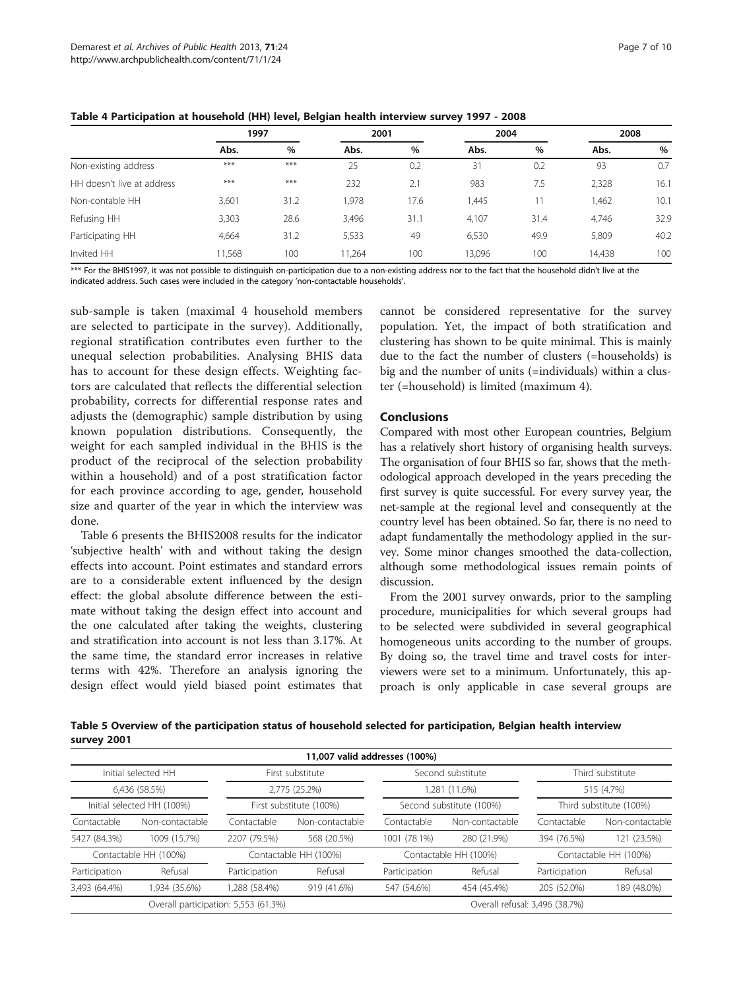<span id="page-6-0"></span>

|                            | 1997  |       | 2001   |      | 2004   |      | 2008   |      |
|----------------------------|-------|-------|--------|------|--------|------|--------|------|
|                            | Abs.  | $\%$  | Abs.   | $\%$ | Abs.   | %    | Abs.   | %    |
| Non-existing address       | $***$ | $***$ | 25     | 0.2  | 31     | 0.2  | 93     | 0.7  |
| HH doesn't live at address | $***$ | ***   | 232    | 2.1  | 983    | 7.5  | 2,328  | 16.1 |
| Non-contable HH            | 3,601 | 31.2  | 1,978  | 17.6 | ,445   | 11   | 1,462  | 10.1 |
| Refusing HH                | 3,303 | 28.6  | 3,496  | 31.1 | 4.107  | 31.4 | 4.746  | 32.9 |
| Participating HH           | 4,664 | 31.2  | 5,533  | 49   | 6,530  | 49.9 | 5,809  | 40.2 |
| Invited HH                 | 1,568 | 100   | 11.264 | 100  | 13.096 | 100  | 14.438 | 100  |

\*\*\* For the BHIS1997, it was not possible to distinguish on-participation due to a non-existing address nor to the fact that the household didn't live at the indicated address. Such cases were included in the category 'non-contactable households'.

sub-sample is taken (maximal 4 household members are selected to participate in the survey). Additionally, regional stratification contributes even further to the unequal selection probabilities. Analysing BHIS data has to account for these design effects. Weighting factors are calculated that reflects the differential selection probability, corrects for differential response rates and adjusts the (demographic) sample distribution by using known population distributions. Consequently, the weight for each sampled individual in the BHIS is the product of the reciprocal of the selection probability within a household) and of a post stratification factor for each province according to age, gender, household size and quarter of the year in which the interview was done.

Table [6](#page-7-0) presents the BHIS2008 results for the indicator 'subjective health' with and without taking the design effects into account. Point estimates and standard errors are to a considerable extent influenced by the design effect: the global absolute difference between the estimate without taking the design effect into account and the one calculated after taking the weights, clustering and stratification into account is not less than 3.17%. At the same time, the standard error increases in relative terms with 42%. Therefore an analysis ignoring the design effect would yield biased point estimates that

cannot be considered representative for the survey population. Yet, the impact of both stratification and clustering has shown to be quite minimal. This is mainly due to the fact the number of clusters (=households) is big and the number of units (=individuals) within a cluster (=household) is limited (maximum 4).

## Conclusions

Compared with most other European countries, Belgium has a relatively short history of organising health surveys. The organisation of four BHIS so far, shows that the methodological approach developed in the years preceding the first survey is quite successful. For every survey year, the net-sample at the regional level and consequently at the country level has been obtained. So far, there is no need to adapt fundamentally the methodology applied in the survey. Some minor changes smoothed the data-collection, although some methodological issues remain points of discussion.

From the 2001 survey onwards, prior to the sampling procedure, municipalities for which several groups had to be selected were subdivided in several geographical homogeneous units according to the number of groups. By doing so, the travel time and travel costs for interviewers were set to a minimum. Unfortunately, this approach is only applicable in case several groups are

Table 5 Overview of the participation status of household selected for participation, Belgian health interview survey 2001

|                                      |                                                |                                      | 11,007 valid addresses (100%) |                                    |                 |                                |                 |
|--------------------------------------|------------------------------------------------|--------------------------------------|-------------------------------|------------------------------------|-----------------|--------------------------------|-----------------|
| Initial selected HH<br>6,436 (58.5%) |                                                | First substitute<br>2,775 (25.2%)    |                               | Second substitute<br>1,281 (11.6%) |                 | Third substitute<br>515 (4.7%) |                 |
|                                      |                                                |                                      |                               |                                    |                 |                                |                 |
| Contactable                          | Non-contactable                                | Contactable                          | Non-contactable               | Contactable                        | Non-contactable | Contactable                    | Non-contactable |
| 5427 (84.3%)                         | 1009 (15.7%)                                   | 2207 (79.5%)                         | 568 (20.5%)                   | 1001 (78.1%)                       | 280 (21.9%)     | 394 (76.5%)                    | 121 (23.5%)     |
|                                      | Contactable HH (100%)<br>Contactable HH (100%) |                                      | Contactable HH (100%)         | Contactable HH (100%)              |                 |                                |                 |
| Participation                        | Refusal                                        | Participation                        | Refusal                       | Participation                      | Refusal         | Participation                  | Refusal         |
| 3,493 (64.4%)                        | 1.934 (35.6%)                                  | 1,288 (58.4%)                        | 919 (41.6%)                   | 547 (54.6%)                        | 454 (45.4%)     | 205 (52.0%)                    | 189 (48.0%)     |
|                                      |                                                | Overall participation: 5,553 (61.3%) |                               |                                    |                 | Overall refusal: 3,496 (38.7%) |                 |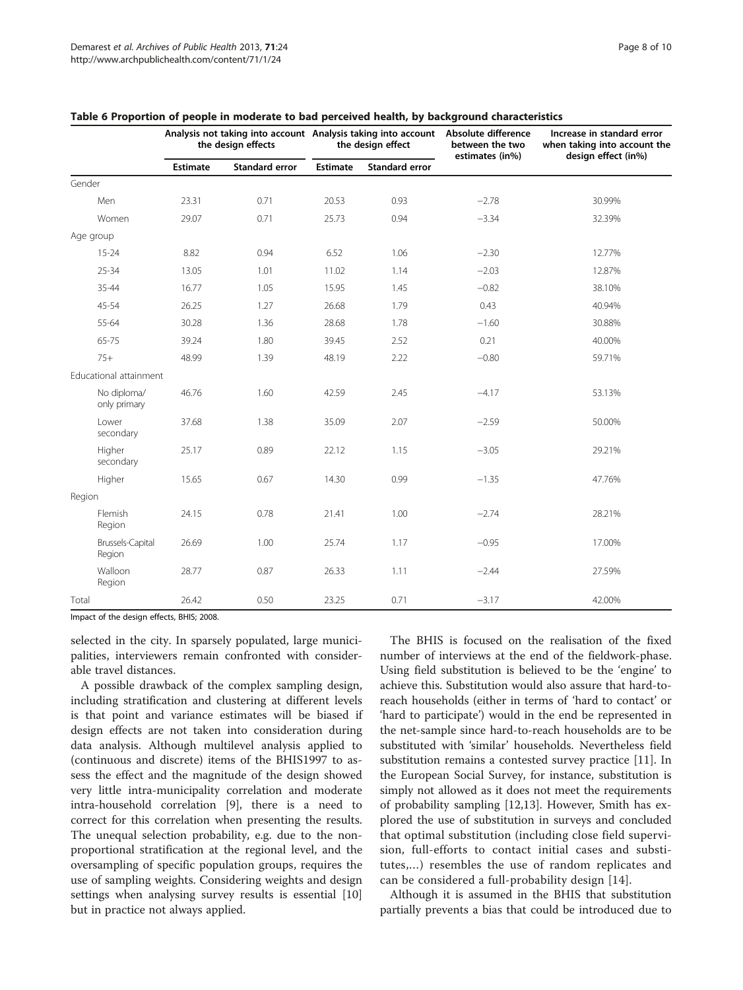|           |                             | Analysis not taking into account Analysis taking into account Absolute difference<br>the design effects |                | the design effect |                | between the two<br>estimates (in%) | Increase in standard error<br>when taking into account the<br>design effect (in%) |  |
|-----------|-----------------------------|---------------------------------------------------------------------------------------------------------|----------------|-------------------|----------------|------------------------------------|-----------------------------------------------------------------------------------|--|
|           |                             | <b>Estimate</b>                                                                                         | Standard error | <b>Estimate</b>   | Standard error |                                    |                                                                                   |  |
| Gender    |                             |                                                                                                         |                |                   |                |                                    |                                                                                   |  |
|           | Men                         | 23.31                                                                                                   | 0.71           | 20.53             | 0.93           | $-2.78$                            | 30.99%                                                                            |  |
|           | Women                       | 29.07                                                                                                   | 0.71           | 25.73             | 0.94           | $-3.34$                            | 32.39%                                                                            |  |
| Age group |                             |                                                                                                         |                |                   |                |                                    |                                                                                   |  |
|           | $15 - 24$                   | 8.82                                                                                                    | 0.94           | 6.52              | 1.06           | $-2.30$                            | 12.77%                                                                            |  |
|           | $25 - 34$                   | 13.05                                                                                                   | 1.01           | 11.02             | 1.14           | $-2.03$                            | 12.87%                                                                            |  |
|           | $35 - 44$                   | 16.77                                                                                                   | 1.05           | 15.95             | 1.45           | $-0.82$                            | 38.10%                                                                            |  |
|           | 45-54                       | 26.25                                                                                                   | 1.27           | 26.68             | 1.79           | 0.43                               | 40.94%                                                                            |  |
|           | 55-64                       | 30.28                                                                                                   | 1.36           | 28.68             | 1.78           | $-1.60$                            | 30.88%                                                                            |  |
|           | 65-75                       | 39.24                                                                                                   | 1.80           | 39.45             | 2.52           | 0.21                               | 40.00%                                                                            |  |
|           | $75+$                       | 48.99                                                                                                   | 1.39           | 48.19             | 2.22           | $-0.80$                            | 59.71%                                                                            |  |
|           | Educational attainment      |                                                                                                         |                |                   |                |                                    |                                                                                   |  |
|           | No diploma/<br>only primary | 46.76                                                                                                   | 1.60           | 42.59             | 2.45           | $-4.17$                            | 53.13%                                                                            |  |
|           | Lower<br>secondary          | 37.68                                                                                                   | 1.38           | 35.09             | 2.07           | $-2.59$                            | 50.00%                                                                            |  |
|           | Higher<br>secondary         | 25.17                                                                                                   | 0.89           | 22.12             | 1.15           | $-3.05$                            | 29.21%                                                                            |  |
|           | Higher                      | 15.65                                                                                                   | 0.67           | 14.30             | 0.99           | $-1.35$                            | 47.76%                                                                            |  |
| Region    |                             |                                                                                                         |                |                   |                |                                    |                                                                                   |  |
|           | Flemish<br>Region           | 24.15                                                                                                   | 0.78           | 21.41             | 1.00           | $-2.74$                            | 28.21%                                                                            |  |
|           | Brussels-Capital<br>Region  | 26.69                                                                                                   | 1.00           | 25.74             | 1.17           | $-0.95$                            | 17.00%                                                                            |  |
|           | Walloon<br>Region           | 28.77                                                                                                   | 0.87           | 26.33             | 1.11           | $-2.44$                            | 27.59%                                                                            |  |
| Total     |                             | 26.42                                                                                                   | 0.50           | 23.25             | 0.71           | $-3.17$                            | 42.00%                                                                            |  |

<span id="page-7-0"></span>

Impact of the design effects, BHIS; 2008.

selected in the city. In sparsely populated, large municipalities, interviewers remain confronted with considerable travel distances.

A possible drawback of the complex sampling design, including stratification and clustering at different levels is that point and variance estimates will be biased if design effects are not taken into consideration during data analysis. Although multilevel analysis applied to (continuous and discrete) items of the BHIS1997 to assess the effect and the magnitude of the design showed very little intra-municipality correlation and moderate intra-household correlation [\[9\]](#page-9-0), there is a need to correct for this correlation when presenting the results. The unequal selection probability, e.g. due to the nonproportional stratification at the regional level, and the oversampling of specific population groups, requires the use of sampling weights. Considering weights and design settings when analysing survey results is essential [[10](#page-9-0)] but in practice not always applied.

The BHIS is focused on the realisation of the fixed number of interviews at the end of the fieldwork-phase. Using field substitution is believed to be the 'engine' to achieve this. Substitution would also assure that hard-toreach households (either in terms of 'hard to contact' or 'hard to participate') would in the end be represented in the net-sample since hard-to-reach households are to be substituted with 'similar' households. Nevertheless field substitution remains a contested survey practice [\[11](#page-9-0)]. In the European Social Survey, for instance, substitution is simply not allowed as it does not meet the requirements of probability sampling [[12,13\]](#page-9-0). However, Smith has explored the use of substitution in surveys and concluded that optimal substitution (including close field supervision, full-efforts to contact initial cases and substitutes,…) resembles the use of random replicates and can be considered a full-probability design [[14](#page-9-0)].

Although it is assumed in the BHIS that substitution partially prevents a bias that could be introduced due to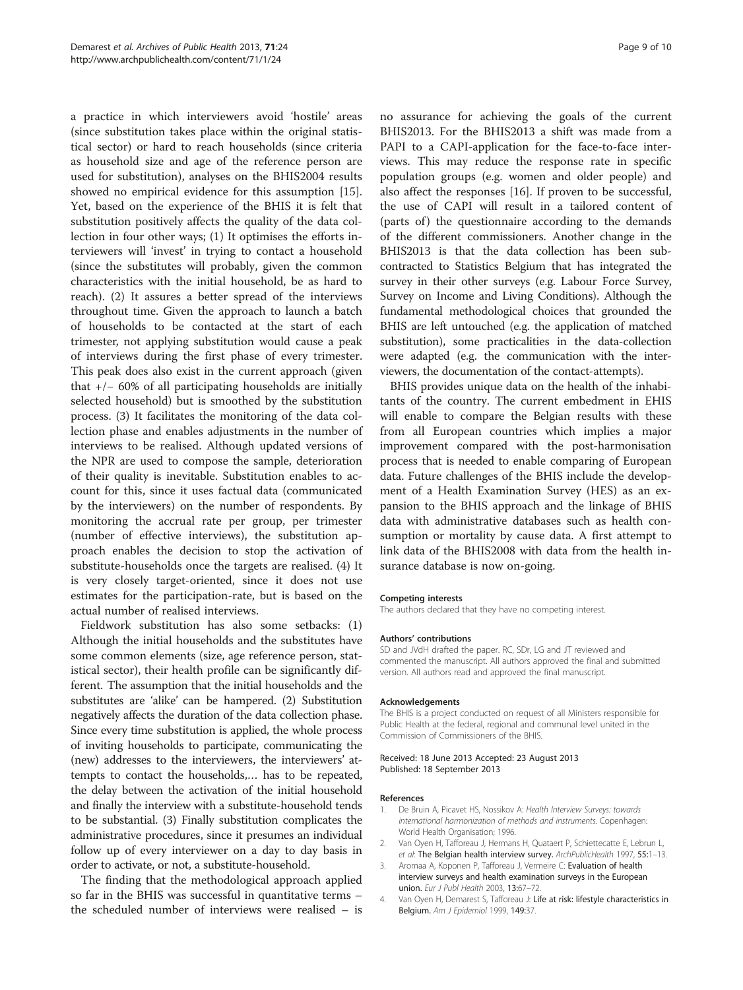<span id="page-8-0"></span>a practice in which interviewers avoid 'hostile' areas (since substitution takes place within the original statistical sector) or hard to reach households (since criteria as household size and age of the reference person are used for substitution), analyses on the BHIS2004 results showed no empirical evidence for this assumption [\[15](#page-9-0)]. Yet, based on the experience of the BHIS it is felt that substitution positively affects the quality of the data collection in four other ways; (1) It optimises the efforts interviewers will 'invest' in trying to contact a household (since the substitutes will probably, given the common characteristics with the initial household, be as hard to reach). (2) It assures a better spread of the interviews throughout time. Given the approach to launch a batch of households to be contacted at the start of each trimester, not applying substitution would cause a peak of interviews during the first phase of every trimester. This peak does also exist in the current approach (given that +/− 60% of all participating households are initially selected household) but is smoothed by the substitution process. (3) It facilitates the monitoring of the data collection phase and enables adjustments in the number of interviews to be realised. Although updated versions of the NPR are used to compose the sample, deterioration of their quality is inevitable. Substitution enables to account for this, since it uses factual data (communicated by the interviewers) on the number of respondents. By monitoring the accrual rate per group, per trimester (number of effective interviews), the substitution approach enables the decision to stop the activation of substitute-households once the targets are realised. (4) It is very closely target-oriented, since it does not use estimates for the participation-rate, but is based on the actual number of realised interviews.

Fieldwork substitution has also some setbacks: (1) Although the initial households and the substitutes have some common elements (size, age reference person, statistical sector), their health profile can be significantly different. The assumption that the initial households and the substitutes are 'alike' can be hampered. (2) Substitution negatively affects the duration of the data collection phase. Since every time substitution is applied, the whole process of inviting households to participate, communicating the (new) addresses to the interviewers, the interviewers' attempts to contact the households,… has to be repeated, the delay between the activation of the initial household and finally the interview with a substitute-household tends to be substantial. (3) Finally substitution complicates the administrative procedures, since it presumes an individual follow up of every interviewer on a day to day basis in order to activate, or not, a substitute-household.

The finding that the methodological approach applied so far in the BHIS was successful in quantitative terms – the scheduled number of interviews were realised – is

no assurance for achieving the goals of the current BHIS2013. For the BHIS2013 a shift was made from a PAPI to a CAPI-application for the face-to-face interviews. This may reduce the response rate in specific population groups (e.g. women and older people) and also affect the responses [[16\]](#page-9-0). If proven to be successful, the use of CAPI will result in a tailored content of (parts of) the questionnaire according to the demands of the different commissioners. Another change in the BHIS2013 is that the data collection has been subcontracted to Statistics Belgium that has integrated the survey in their other surveys (e.g. Labour Force Survey, Survey on Income and Living Conditions). Although the fundamental methodological choices that grounded the BHIS are left untouched (e.g. the application of matched substitution), some practicalities in the data-collection were adapted (e.g. the communication with the interviewers, the documentation of the contact-attempts).

BHIS provides unique data on the health of the inhabitants of the country. The current embedment in EHIS will enable to compare the Belgian results with these from all European countries which implies a major improvement compared with the post-harmonisation process that is needed to enable comparing of European data. Future challenges of the BHIS include the development of a Health Examination Survey (HES) as an expansion to the BHIS approach and the linkage of BHIS data with administrative databases such as health consumption or mortality by cause data. A first attempt to link data of the BHIS2008 with data from the health insurance database is now on-going.

#### Competing interests

The authors declared that they have no competing interest.

#### Authors' contributions

SD and JVdH drafted the paper. RC, SDr, LG and JT reviewed and commented the manuscript. All authors approved the final and submitted version. All authors read and approved the final manuscript.

#### Acknowledgements

The BHIS is a project conducted on request of all Ministers responsible for Public Health at the federal, regional and communal level united in the Commission of Commissioners of the BHIS.

#### Received: 18 June 2013 Accepted: 23 August 2013 Published: 18 September 2013

#### References

- De Bruin A, Picavet HS, Nossikov A: Health Interview Surveys: towards international harmonization of methods and instruments. Copenhagen: World Health Organisation; 1996.
- 2. Van Oyen H, Tafforeau J, Hermans H, Quataert P, Schiettecatte E, Lebrun L, et al: The Belgian health interview survey. ArchPublicHealth 1997, 55:1–13.
- 3. Aromaa A, Koponen P, Tafforeau J, Vermeire C: Evaluation of health interview surveys and health examination surveys in the European union. Eur J Publ Health 2003, 13:67–72.
- 4. Van Oyen H, Demarest S, Tafforeau J: Life at risk: lifestyle characteristics in Belgium. Am J Epidemiol 1999, 149:37.